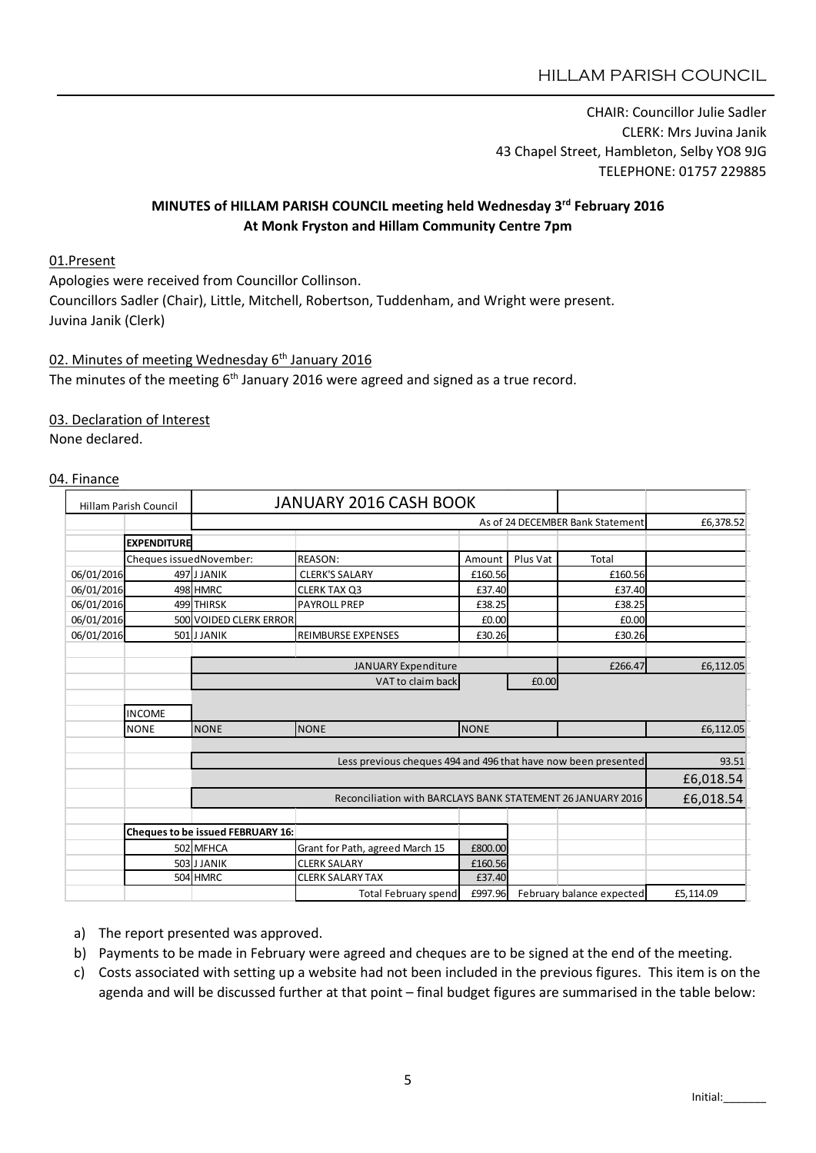CHAIR: Councillor Julie Sadler CLERK: Mrs Juvina Janik 43 Chapel Street, Hambleton, Selby YO8 9JG TELEPHONE: 01757 229885

#### MINUTES of HILLAM PARISH COUNCIL meeting held Wednesday 3rd February 2016 At Monk Fryston and Hillam Community Centre 7pm

#### 01.Present

Apologies were received from Councillor Collinson. Councillors Sadler (Chair), Little, Mitchell, Robertson, Tuddenham, and Wright were present. Juvina Janik (Clerk)

### 02. Minutes of meeting Wednesday 6<sup>th</sup> January 2016

The minutes of the meeting  $6<sup>th</sup>$  January 2016 were agreed and signed as a true record.

#### 03. Declaration of Interest

None declared.

#### 04. Finance

| <b>Hillam Parish Council</b> |                         | <b>JANUARY 2016 CASH BOOK</b>            |                                 |             |          |                           |           |
|------------------------------|-------------------------|------------------------------------------|---------------------------------|-------------|----------|---------------------------|-----------|
|                              |                         | As of 24 DECEMBER Bank Statement         |                                 |             |          |                           | £6,378.52 |
|                              | <b>EXPENDITURE</b>      |                                          |                                 |             |          |                           |           |
|                              | Cheques issuedNovember: |                                          | <b>REASON:</b>                  | Amount      | Plus Vat | Total                     |           |
| 06/01/2016                   |                         | 497JJJANIK                               | <b>CLERK'S SALARY</b>           | £160.56     |          | £160.56                   |           |
| 06/01/2016                   |                         | 498 HMRC                                 | <b>CLERK TAX Q3</b>             | £37.40      |          | £37.40                    |           |
| 06/01/2016                   |                         | 499 THIRSK                               | <b>PAYROLL PREP</b>             | £38.25      |          | £38.25                    |           |
| 06/01/2016                   |                         | 500 VOIDED CLERK ERROR                   |                                 | £0.00       |          | £0.00                     |           |
| 06/01/2016                   |                         | 501 JJANIK                               | <b>REIMBURSE EXPENSES</b>       | £30.26      |          | £30.26                    |           |
|                              |                         |                                          |                                 |             |          |                           |           |
|                              |                         | JANUARY Expenditure                      |                                 |             | £266.47  | £6,112.05                 |           |
|                              |                         | VAT to claim back<br>£0.00               |                                 |             |          |                           |           |
|                              |                         |                                          |                                 |             |          |                           |           |
| <b>INCOME</b>                |                         |                                          |                                 |             |          |                           |           |
|                              | <b>NONE</b>             | <b>NONE</b>                              | <b>NONE</b>                     | <b>NONE</b> |          |                           | £6,112.05 |
|                              |                         |                                          |                                 |             |          |                           |           |
|                              |                         |                                          | 93.51                           |             |          |                           |           |
|                              |                         |                                          |                                 |             |          |                           | £6,018.54 |
|                              |                         |                                          | £6,018.54                       |             |          |                           |           |
|                              |                         |                                          |                                 |             |          |                           |           |
|                              |                         | <b>Cheques to be issued FEBRUARY 16:</b> |                                 |             |          |                           |           |
|                              |                         | 502 MFHCA                                | Grant for Path, agreed March 15 | £800.00     |          |                           |           |
|                              |                         | 503 JJANIK                               | <b>CLERK SALARY</b>             | £160.56     |          |                           |           |
|                              |                         | 504 HMRC                                 | <b>CLERK SALARY TAX</b>         | £37.40      |          |                           |           |
|                              |                         |                                          | <b>Total February spend</b>     | £997.96     |          | February balance expected | £5,114.09 |

a) The report presented was approved.

- b) Payments to be made in February were agreed and cheques are to be signed at the end of the meeting.
- c) Costs associated with setting up a website had not been included in the previous figures. This item is on the agenda and will be discussed further at that point – final budget figures are summarised in the table below: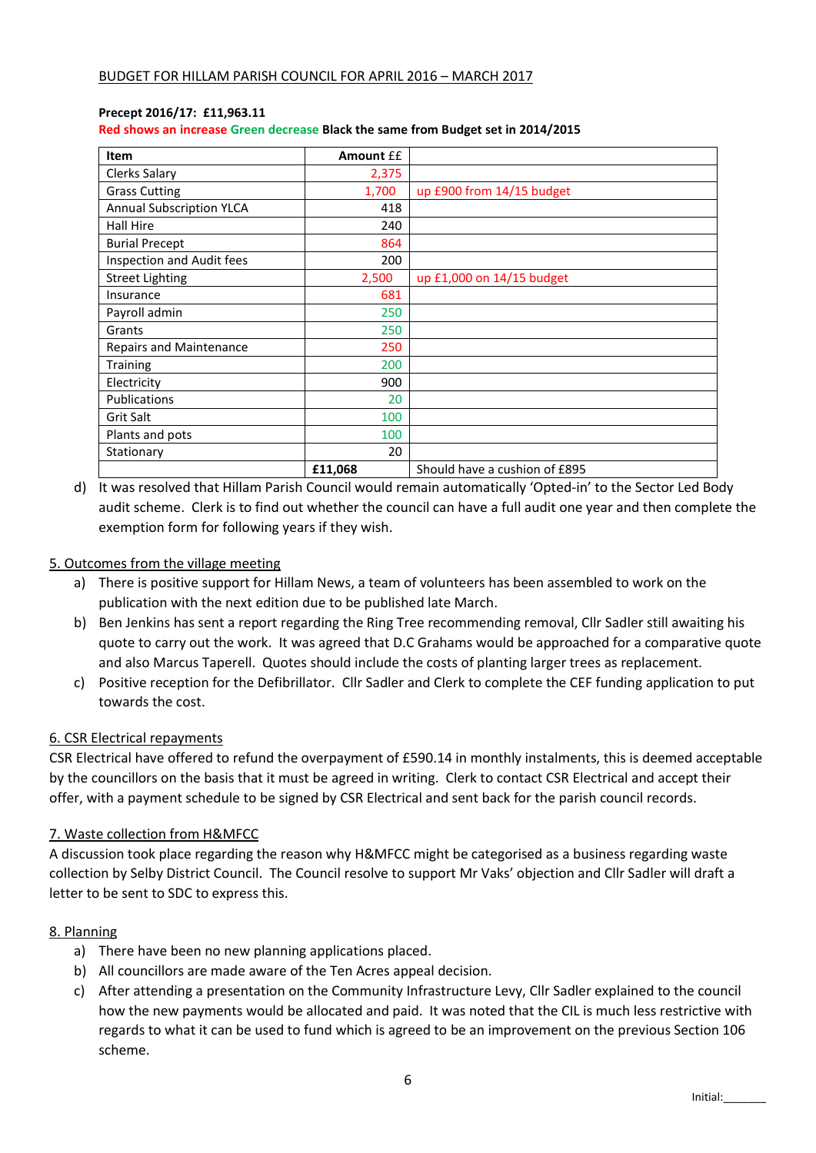#### Precept 2016/17: £11,963.11

Red shows an increase Green decrease Black the same from Budget set in 2014/2015

| Item                            | <b>Amount EE</b> |                               |
|---------------------------------|------------------|-------------------------------|
| Clerks Salary                   | 2,375            |                               |
| <b>Grass Cutting</b>            | 1,700            | up £900 from 14/15 budget     |
| <b>Annual Subscription YLCA</b> | 418              |                               |
| Hall Hire                       | 240              |                               |
| <b>Burial Precept</b>           | 864              |                               |
| Inspection and Audit fees       | 200              |                               |
| <b>Street Lighting</b>          | 2,500            | up £1,000 on 14/15 budget     |
| Insurance                       | 681              |                               |
| Payroll admin                   | 250              |                               |
| Grants                          | 250              |                               |
| <b>Repairs and Maintenance</b>  | 250              |                               |
| Training                        | 200              |                               |
| Electricity                     | 900              |                               |
| <b>Publications</b>             | 20               |                               |
| Grit Salt                       | 100              |                               |
| Plants and pots                 | 100              |                               |
| Stationary                      | 20               |                               |
|                                 | £11,068          | Should have a cushion of £895 |

d) It was resolved that Hillam Parish Council would remain automatically 'Opted-in' to the Sector Led Body audit scheme. Clerk is to find out whether the council can have a full audit one year and then complete the exemption form for following years if they wish.

#### 5. Outcomes from the village meeting

- a) There is positive support for Hillam News, a team of volunteers has been assembled to work on the publication with the next edition due to be published late March.
- b) Ben Jenkins has sent a report regarding the Ring Tree recommending removal, Cllr Sadler still awaiting his quote to carry out the work. It was agreed that D.C Grahams would be approached for a comparative quote and also Marcus Taperell. Quotes should include the costs of planting larger trees as replacement.
- c) Positive reception for the Defibrillator. Cllr Sadler and Clerk to complete the CEF funding application to put towards the cost.

#### 6. CSR Electrical repayments

CSR Electrical have offered to refund the overpayment of £590.14 in monthly instalments, this is deemed acceptable by the councillors on the basis that it must be agreed in writing. Clerk to contact CSR Electrical and accept their offer, with a payment schedule to be signed by CSR Electrical and sent back for the parish council records.

#### 7. Waste collection from H&MFCC

A discussion took place regarding the reason why H&MFCC might be categorised as a business regarding waste collection by Selby District Council. The Council resolve to support Mr Vaks' objection and Cllr Sadler will draft a letter to be sent to SDC to express this.

#### 8. Planning

- a) There have been no new planning applications placed.
- b) All councillors are made aware of the Ten Acres appeal decision.
- c) After attending a presentation on the Community Infrastructure Levy, Cllr Sadler explained to the council how the new payments would be allocated and paid. It was noted that the CIL is much less restrictive with regards to what it can be used to fund which is agreed to be an improvement on the previous Section 106 scheme.